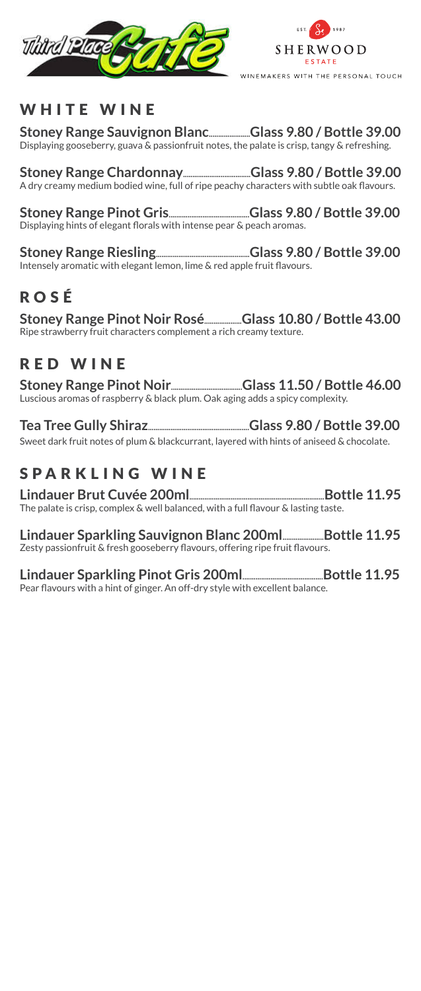



#### WHITE WINE

**Stoney Range Sauvignon Blanc......................Glass 9.80 / Bottle 39.00** Displaying gooseberry, guava & passionfruit notes, the palate is crisp, tangy & refreshing.

**Stoney Range Chardonnay....................................Glass 9.80 / Bottle 39.00** A dry creamy medium bodied wine, full of ripe peachy characters with subtle oak flavours.

**Stoney Range Pinot Gris...........................................Glass 9.80 / Bottle 39.00** Displaying hints of elegant florals with intense pear & peach aromas.

**Stoney Range Riesling..................................................Glass 9.80 / Bottle 39.00** Intensely aromatic with elegant lemon, lime & red apple fruit flavours.

### ROSÉ

**Stoney Range Pinot Noir Rosé....................Glass 10.80 / Bottle 43.00** Ripe strawberry fruit characters complement a rich creamy texture.

#### RED WINE

**Stoney Range Pinot Noir......................................Glass 11.50 / Bottle 46.00** Luscious aromas of raspberry & black plum. Oak aging adds a spicy complexity.

**Tea Tree Gully Shiraz......................................................Glass 9.80 / Bottle 39.00** Sweet dark fruit notes of plum & blackcurrant, layered with hints of aniseed & chocolate.

## SPARKLING WINE

**Lindauer Brut Cuvée 200ml........................................................................Bottle 11.95** The palate is crisp, complex & well balanced, with a full flavour & lasting taste.

**Lindauer Sparkling Sauvignon Blanc 200ml......................Bottle 11.95** Zesty passionfruit & fresh gooseberry flavours, offering ripe fruit flavours.

**Lindauer Sparkling Pinot Gris 200ml...........................................Bottle 11.95** Pear flavours with a hint of ginger. An off-dry style with excellent balance.